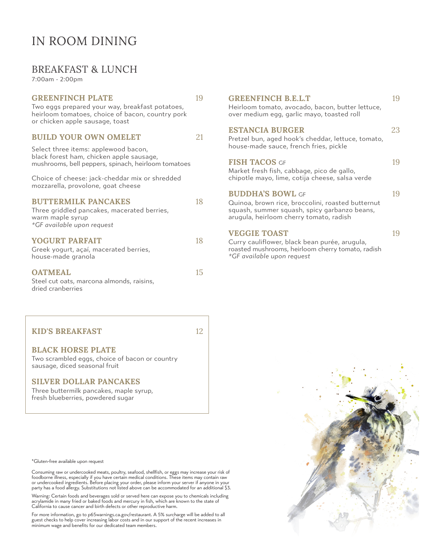### BREAKFAST & LUNCH

7:00am - 2:00pm

### GREENFINCH PLATE 19

Two eggs prepared your way, breakfast potatoes, heirloom tomatoes, choice of bacon, country pork or chicken apple sausage, toast

### **BUILD YOUR OWN OMELET** 21

Select three items: applewood bacon, black forest ham, chicken apple sausage, mushrooms, bell peppers, spinach, heirloom tomatoes

Choice of cheese: jack-cheddar mix or shredded mozzarella, provolone, goat cheese

#### **BUTTERMILK PANCAKES** 18

| Three griddled pancakes, macerated berries, |
|---------------------------------------------|
| warm maple syrup                            |
| *GF available upon request                  |

#### **YOGURT PARFAIT 18**

| Greek yogurt, açaí, macerated berries, |  |
|----------------------------------------|--|
| house-made granola                     |  |

#### OATMEAL 15

Steel cut oats, marcona almonds, raisins, dried cranberries

### KID'S BREAKFAST 12

#### BLACK HORSE PLATE

Two scrambled eggs, choice of bacon or country sausage, diced seasonal fruit

#### SILVER DOLLAR PANCAKES

Three buttermilk pancakes, maple syrup, fresh blueberries, powdered sugar

\*Gluten-free available upon request

Consuming raw or undercooked meats, poultry, seafood, shellfish, or eggs may increase your risk of<br>foodborne illness, especially if you have certain medical conditions. These items may contain raw<br>or undercooked ingredient

Warning: Certain foods and beverages sold or served here can expose you to chemicals including<br>acrylamide in many fried or baked foods and mercury in fish, which are known to the state of<br>California to cause cancer and bir

For more information, go to p65warnings.ca.gov/restaurant. A 5% surcharge will be added to all<br>guest checks to help cover increasing labor costs and in our support of the recent increases in<br>minimum wage and benefits for o

| <b>GREENFINCH B.E.L.T</b><br>Heirloom tomato, avocado, bacon, butter lettuce,<br>over medium egg, garlic mayo, toasted roll                                             | 19 |
|-------------------------------------------------------------------------------------------------------------------------------------------------------------------------|----|
| <b>ESTANCIA BURGER</b><br>Pretzel bun, aged hook's cheddar, lettuce, tomato,<br>house-made sauce, french fries, pickle                                                  | 23 |
| <b>FISH TACOS GF</b><br>Market fresh fish, cabbage, pico de gallo,<br>chipotle mayo, lime, cotija cheese, salsa verde                                                   | 19 |
| <b>BUDDHA'S BOWL GF</b><br>Quinoa, brown rice, broccolini, roasted butternut<br>squash, summer squash, spicy garbanzo beans,<br>arugula, heirloom cherry tomato, radish | 19 |
| <b>VEGGIE TOAST</b><br>Curry cauliflower, black bean purée, arugula,<br>roasted mushrooms, heirloom cherry tomato, radish                                               | 19 |

*\*GF available upon request*

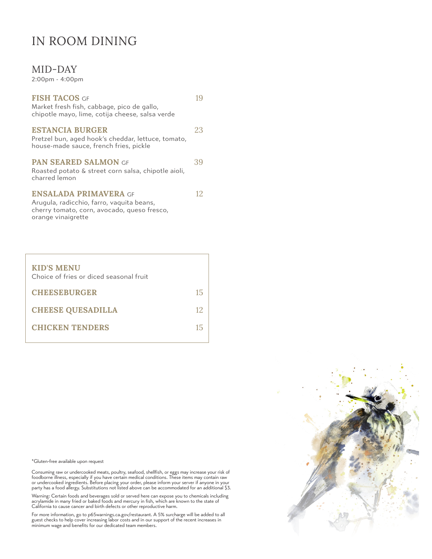### MID-DAY

2:00pm - 4:00pm

| <b>FISH TACOS GF</b><br>Market fresh fish, cabbage, pico de gallo,<br>chipotle mayo, lime, cotija cheese, salsa verde                          | 19  |
|------------------------------------------------------------------------------------------------------------------------------------------------|-----|
| <b>ESTANCIA BURGER</b><br>Pretzel bun, aged hook's cheddar, lettuce, tomato,<br>house-made sauce, french fries, pickle                         | 23  |
| <b>PAN SEARED SALMON GF</b><br>Roasted potato & street corn salsa, chipotle aioli,<br>charred lemon                                            | 39  |
| <b>ENSALADA PRIMAVERA</b> GE<br>Arugula, radicchio, farro, vaquita beans,<br>cherry tomato, corn, avocado, queso fresco,<br>orange vinaigrette | 12. |
| <b>KID'S MENU</b>                                                                                                                              |     |

| Choice of fries or diced seasonal fruit |    |
|-----------------------------------------|----|
| <b>CHEESEBURGER</b>                     | 15 |
| <b>CHEESE QUESADILLA</b>                | 12 |
| <b>CHICKEN TENDERS</b>                  | 15 |

\*Gluten-free available upon request

Consuming raw or undercooked meats, poultry, seafood, shellfish, or eggs may increase your risk of<br>foodborne illness, especially if you have certain medical conditions. These items may contain raw<br>or undercooked ingredient

Warning: Certain foods and beverages sold or served here can expose you to chemicals including<br>acrylamide in many fried or baked foods and mercury in fish, which are known to the state of<br>California to cause cancer and bir

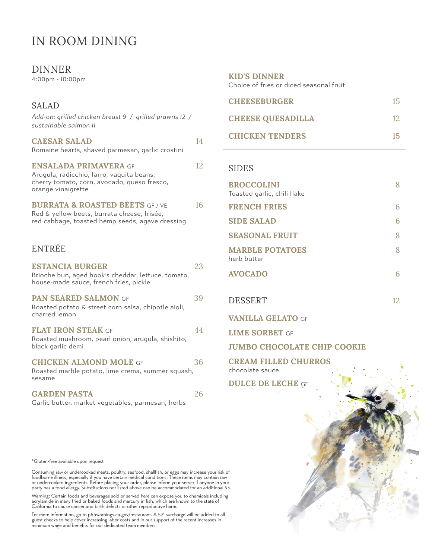### DINNER

4:00pm - 10:00pm

| <b>SALAD</b>                                                                                                                                   |    |
|------------------------------------------------------------------------------------------------------------------------------------------------|----|
| Add-on: grilled chicken breast 9 / grilled prawns I2 /<br>sustainable salmon II                                                                |    |
| <b>CAESAR SALAD</b><br>Romaine hearts, shaved parmesan, garlic crostini                                                                        | 14 |
| <b>ENSALADA PRIMAVERA GF</b><br>Arugula, radicchio, farro, vaquita beans,<br>cherry tomato, corn, avocado, queso fresco,<br>orange vinaigrette | 12 |
| <b>BURRATA &amp; ROASTED BEETS GF / VE</b><br>Red & yellow beets, burrata cheese, frisée,<br>red cabbage, toasted hemp seeds, agave dressing   | 16 |
| ENTRÉE                                                                                                                                         |    |
| <b>ESTANCIA BURGER</b><br>Brioche bun, aged hook's cheddar, lettuce, tomato,<br>house-made sauce, french fries, pickle                         | 23 |
| PAN SEARED SALMON GF<br>Roasted potato & street corn salsa, chipotle aioli,<br>charred lemon                                                   | 39 |
| <b>FLAT IRON STEAK GF</b><br>Roasted mushroom, pearl onion, arugula, shishito,<br>black garlic demi                                            | 44 |
| <b>CHICKEN ALMOND MOLE GF</b><br>Roasted marble potato, lime crema, summer squash,<br>sesame                                                   | 36 |
| <b>GARDEN PASTA</b>                                                                                                                            | 26 |

Garlic butter, market vegetables, parmesan, herbs

| <b>KID'S DINNER</b><br>Choice of fries or diced seasonal fruit |    |
|----------------------------------------------------------------|----|
| <b>CHEESEBURGER</b>                                            | 15 |
| <b>CHEESE QUESADILLA</b>                                       | 12 |
| <b>CHICKEN TENDERS</b>                                         |    |

#### SIDES

| <b>BROCCOLINI</b><br>Toasted garlic, chili flake | 8 |
|--------------------------------------------------|---|
| <b>FRENCH FRIES</b>                              | 6 |
| <b>SIDE SALAD</b>                                | 6 |
| <b>SEASONAL FRUIT</b>                            | 8 |
| <b>MARBLE POTATOES</b><br>herb butter            | 8 |
| <b>AVOCADO</b>                                   | 6 |
|                                                  |   |

DESSERT 12

VANILLA GELATO GF

LIME SORBET GF

JUMBO CHOCOLATE CHIP COOKIE

CREAM FILLED CHURROS chocolate sauce

DULCE DE LECHE GF

\*Gluten-free available upon request

Consuming raw or undercooked meats, poultry, seafood, shellfish, or eggs may increase your risk of<br>foodborne illness, especially if you have certain medical conditions. These items may contain raw<br>or undercooked ingredient

Warning: Certain foods and beverages sold or served here can expose you to chemicals including<br>acrylamide in many fried or baked foods and mercury in fish, which are known to the state of<br>California to cause cancer and bir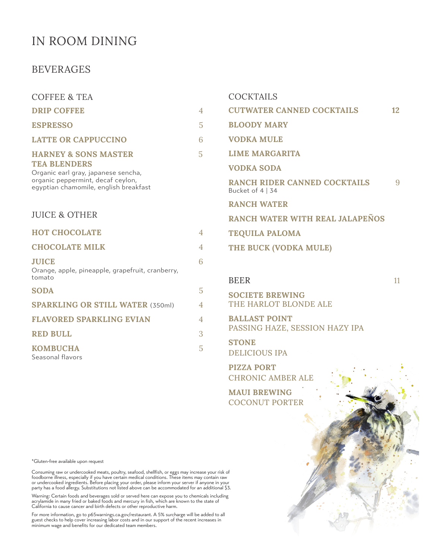### BEVERAGES

| <b>COFFEE &amp; TEA</b>                                                    |                                 | <b>COCKTAILS</b>                                             |    |
|----------------------------------------------------------------------------|---------------------------------|--------------------------------------------------------------|----|
| <b>DRIP COFFEE</b>                                                         | $\overline{4}$                  | <b>CUTWATER CANNED COCKTAILS</b>                             | 12 |
| <b>ESPRESSO</b>                                                            | 5                               | <b>BLOODY MARY</b>                                           |    |
| <b>LATTE OR CAPPUCCINO</b>                                                 | 6                               | <b>VODKA MULE</b>                                            |    |
| <b>HARNEY &amp; SONS MASTER</b>                                            | $\overline{5}$                  | <b>LIME MARGARITA</b>                                        |    |
| <b>TEA BLENDERS</b><br>Organic earl gray, japanese sencha,                 |                                 | <b>VODKA SODA</b>                                            |    |
| organic peppermint, decaf ceylon,<br>egyptian chamomile, english breakfast |                                 | <b>RANCH RIDER CANNED COCKTAILS</b><br>Bucket of $4 \mid 34$ | 9  |
|                                                                            |                                 | <b>RANCH WATER</b>                                           |    |
| <b>JUICE &amp; OTHER</b>                                                   | RANCH WATER WITH REAL JALAPEÑOS |                                                              |    |
| <b>HOT CHOCOLATE</b>                                                       | $\overline{4}$                  | <b>TEQUILA PALOMA</b>                                        |    |
| <b>CHOCOLATE MILK</b>                                                      | 4                               | THE BUCK (VODKA MULE)                                        |    |
| <b>JUICE</b><br>Orange, apple, pineapple, grapefruit, cranberry,           | 6                               |                                                              |    |
| tomato                                                                     |                                 | <b>BEER</b>                                                  | 11 |
| <b>SODA</b>                                                                | 5                               | <b>SOCIETE BREWING</b>                                       |    |
| <b>SPARKLING OR STILL WATER (350ml)</b>                                    | $\overline{4}$                  | THE HARLOT BLONDE ALE                                        |    |
| <b>FLAVORED SPARKLING EVIAN</b>                                            | $\overline{4}$                  | <b>BALLAST POINT</b>                                         |    |
| <b>RED BULL</b>                                                            | 3                               | PASSING HAZE, SESSION HAZY IPA                               |    |
| <b>KOMBUCHA</b><br>Seasonal flavors                                        | 5                               | <b>STONE</b><br><b>DELICIOUS IPA</b>                         |    |
|                                                                            |                                 | <b>PIZZA PORT</b><br><b>CHRONIC AMBER ALE</b>                |    |

MAUI BREWING COCONUT PORTER

\*Gluten-free available upon request

Consuming raw or undercooked meats, poultry, seafood, shellfish, or eggs may increase your risk of<br>foodborne illness, especially if you have certain medical conditions. These items may contain raw<br>or undercooked ingredient

Warning: Certain foods and beverages sold or served here can expose you to chemicals including<br>acrylamide in many fried or baked foods and mercury in fish, which are known to the state of<br>California to cause cancer and bir